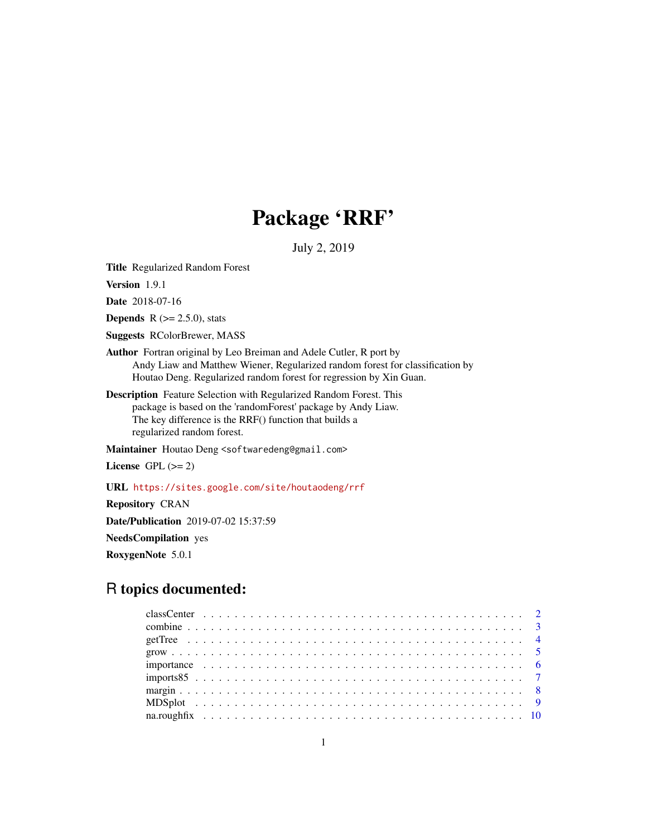# Package 'RRF'

July 2, 2019

<span id="page-0-0"></span>Title Regularized Random Forest

Version 1.9.1

Date 2018-07-16

**Depends** R  $(>= 2.5.0)$ , stats

Suggests RColorBrewer, MASS

- Author Fortran original by Leo Breiman and Adele Cutler, R port by Andy Liaw and Matthew Wiener, Regularized random forest for classification by Houtao Deng. Regularized random forest for regression by Xin Guan.
- Description Feature Selection with Regularized Random Forest. This package is based on the 'randomForest' package by Andy Liaw. The key difference is the RRF() function that builds a regularized random forest.

Maintainer Houtao Deng <softwaredeng@gmail.com>

License GPL  $(>= 2)$ 

URL <https://sites.google.com/site/houtaodeng/rrf>

Repository CRAN Date/Publication 2019-07-02 15:37:59 NeedsCompilation yes RoxygenNote 5.0.1

# R topics documented: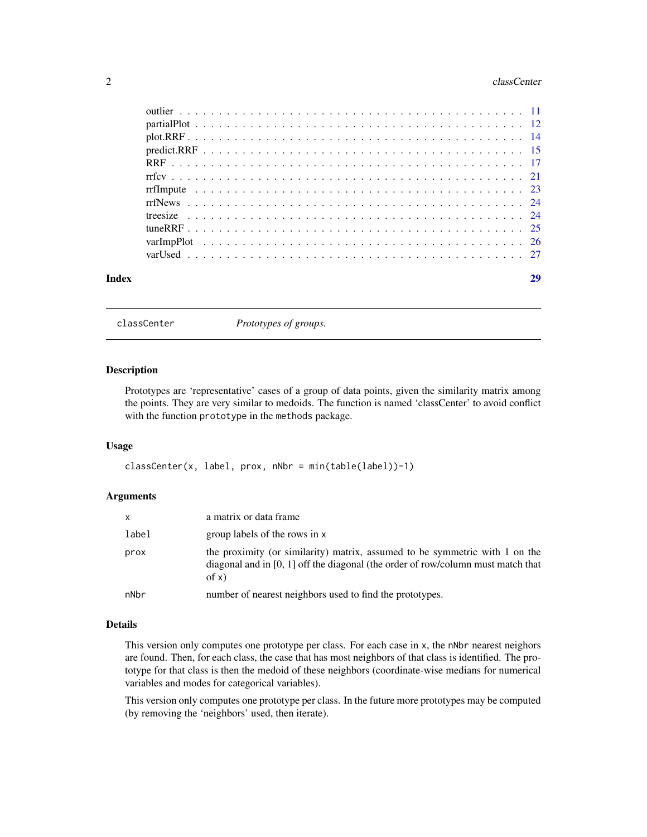#### <span id="page-1-0"></span>2 classCenter control of the classCenter control of the classCenter control of the classCenter control of the classCenter control of the classCenter control of the classCenter control of the classCenter control of the clas

| Index | 29 |
|-------|----|
|       |    |
|       |    |
|       |    |
|       |    |
|       |    |
|       |    |
|       |    |
|       |    |
|       |    |
|       |    |
|       |    |
|       |    |

classCenter *Prototypes of groups.*

# Description

Prototypes are 'representative' cases of a group of data points, given the similarity matrix among the points. They are very similar to medoids. The function is named 'classCenter' to avoid conflict with the function prototype in the methods package.

#### Usage

```
classCenter(x, label, prox, nNbr = min(table(label))-1)
```
#### **Arguments**

| $\mathsf{x}$ | a matrix or data frame                                                                                                                                                       |
|--------------|------------------------------------------------------------------------------------------------------------------------------------------------------------------------------|
| label        | group labels of the rows in x                                                                                                                                                |
| prox         | the proximity (or similarity) matrix, assumed to be symmetric with 1 on the<br>diagonal and in $[0, 1]$ off the diagonal (the order of row/column must match that<br>of $x)$ |
| nNbr         | number of nearest neighbors used to find the prototypes.                                                                                                                     |

#### Details

This version only computes one prototype per class. For each case in x, the nNbr nearest neighors are found. Then, for each class, the case that has most neighbors of that class is identified. The prototype for that class is then the medoid of these neighbors (coordinate-wise medians for numerical variables and modes for categorical variables).

This version only computes one prototype per class. In the future more prototypes may be computed (by removing the 'neighbors' used, then iterate).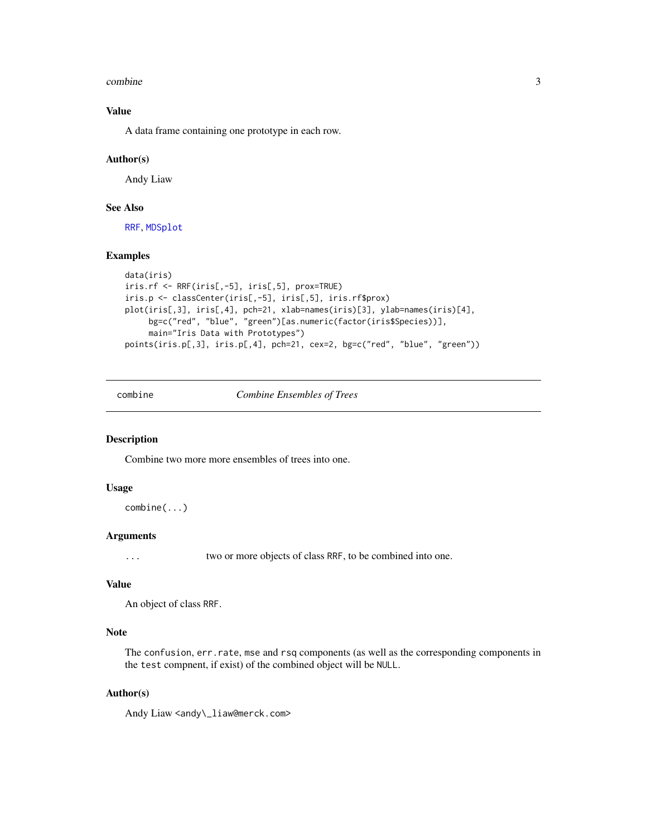#### <span id="page-2-0"></span>combine 3

# Value

A data frame containing one prototype in each row.

#### Author(s)

Andy Liaw

# See Also

[RRF](#page-16-1), [MDSplot](#page-8-1)

# Examples

```
data(iris)
iris.rf <- RRF(iris[,-5], iris[,5], prox=TRUE)
iris.p <- classCenter(iris[,-5], iris[,5], iris.rf$prox)
plot(iris[,3], iris[,4], pch=21, xlab=names(iris)[3], ylab=names(iris)[4],
     bg=c("red", "blue", "green")[as.numeric(factor(iris$Species))],
     main="Iris Data with Prototypes")
points(iris.p[,3], iris.p[,4], pch=21, cex=2, bg=c("red", "blue", "green"))
```
<span id="page-2-1"></span>combine *Combine Ensembles of Trees*

#### Description

Combine two more more ensembles of trees into one.

#### Usage

combine(...)

# Arguments

... two or more objects of class RRF, to be combined into one.

# Value

An object of class RRF.

# Note

The confusion, err.rate, mse and rsq components (as well as the corresponding components in the test compnent, if exist) of the combined object will be NULL.

# Author(s)

Andy Liaw <andy\\_liaw@merck.com>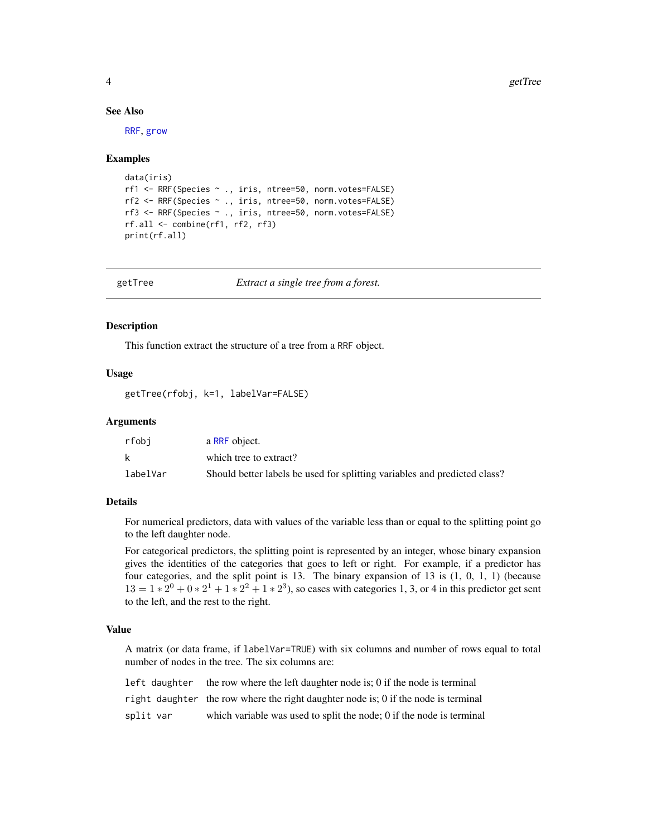<span id="page-3-0"></span>4 getTree

#### See Also

[RRF](#page-16-1), [grow](#page-4-1)

#### Examples

```
data(iris)
rf1 <- RRF(Species ~ ., iris, ntree=50, norm.votes=FALSE)
rf2 <- RRF(Species ~ ., iris, ntree=50, norm.votes=FALSE)
rf3 <- RRF(Species ~ ., iris, ntree=50, norm.votes=FALSE)
rf.all <- combine(rf1, rf2, rf3)
print(rf.all)
```
getTree *Extract a single tree from a forest.*

#### Description

This function extract the structure of a tree from a RRF object.

#### Usage

getTree(rfobj, k=1, labelVar=FALSE)

#### Arguments

| rfobi    | a RRF object.                                                             |
|----------|---------------------------------------------------------------------------|
|          | which tree to extract?                                                    |
| labelVar | Should better labels be used for splitting variables and predicted class? |

#### Details

For numerical predictors, data with values of the variable less than or equal to the splitting point go to the left daughter node.

For categorical predictors, the splitting point is represented by an integer, whose binary expansion gives the identities of the categories that goes to left or right. For example, if a predictor has four categories, and the split point is 13. The binary expansion of 13 is (1, 0, 1, 1) (because  $13 = 1 * 2^0 + 0 * 2^1 + 1 * 2^2 + 1 * 2^3$ , so cases with categories 1, 3, or 4 in this predictor get sent to the left, and the rest to the right.

# Value

A matrix (or data frame, if labelVar=TRUE) with six columns and number of rows equal to total number of nodes in the tree. The six columns are:

| left daughter | the row where the left daughter node is; 0 if the node is terminal                 |
|---------------|------------------------------------------------------------------------------------|
|               | right daughter the row where the right daughter node is; 0 if the node is terminal |
| split var     | which variable was used to split the node; 0 if the node is terminal               |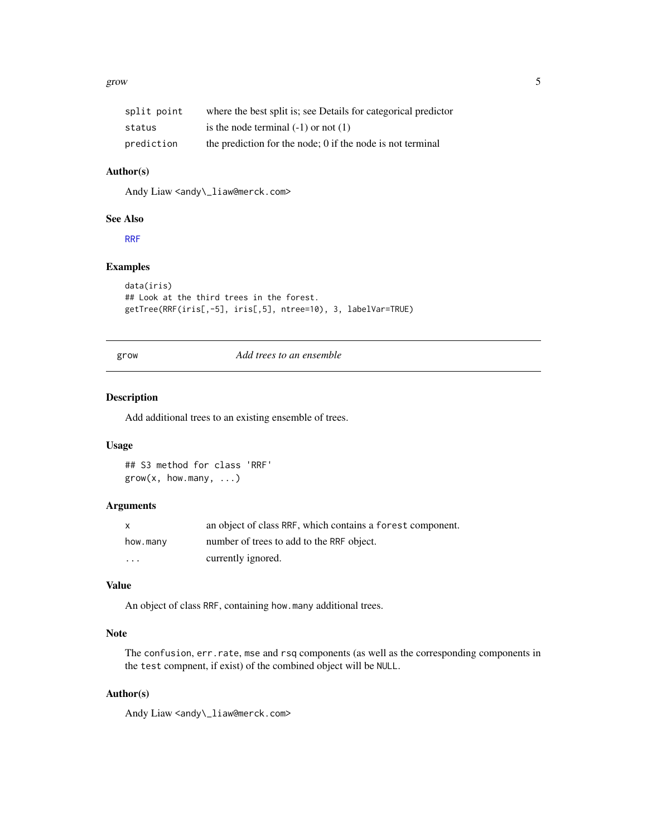#### <span id="page-4-0"></span>grow 5

| split point | where the best split is; see Details for categorical predictor |
|-------------|----------------------------------------------------------------|
| status      | is the node terminal $(-1)$ or not $(1)$                       |
| prediction  | the prediction for the node; 0 if the node is not terminal     |

# Author(s)

Andy Liaw <andy\\_liaw@merck.com>

#### See Also

[RRF](#page-16-1)

# Examples

```
data(iris)
## Look at the third trees in the forest.
getTree(RRF(iris[,-5], iris[,5], ntree=10), 3, labelVar=TRUE)
```
<span id="page-4-1"></span>grow *Add trees to an ensemble*

#### Description

Add additional trees to an existing ensemble of trees.

## Usage

## S3 method for class 'RRF' grow(x, how.many, ...)

# Arguments

| $\mathsf{x}$            | an object of class RRF, which contains a forest component. |
|-------------------------|------------------------------------------------------------|
| how.many                | number of trees to add to the RRF object.                  |
| $\cdot$ $\cdot$ $\cdot$ | currently ignored.                                         |

#### Value

An object of class RRF, containing how.many additional trees.

# Note

The confusion, err.rate, mse and rsq components (as well as the corresponding components in the test compnent, if exist) of the combined object will be NULL.

# Author(s)

Andy Liaw <andy\\_liaw@merck.com>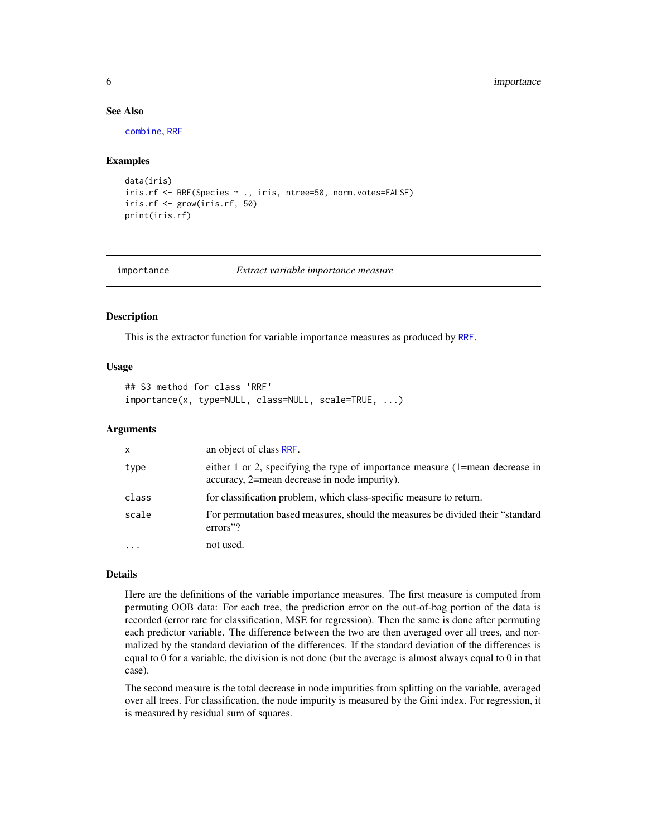#### <span id="page-5-0"></span>**6** importance **6** importance **6** importance

# See Also

[combine](#page-2-1), [RRF](#page-16-1)

#### Examples

```
data(iris)
iris.rf <- RRF(Species ~ ., iris, ntree=50, norm.votes=FALSE)
iris.rf <- grow(iris.rf, 50)
print(iris.rf)
```
<span id="page-5-1"></span>importance *Extract variable importance measure*

#### Description

This is the extractor function for variable importance measures as produced by [RRF](#page-16-1).

# Usage

## S3 method for class 'RRF' importance(x, type=NULL, class=NULL, scale=TRUE, ...)

#### Arguments

| $\mathsf{x}$ | an object of class RRF.                                                                                                          |
|--------------|----------------------------------------------------------------------------------------------------------------------------------|
| type         | either 1 or 2, specifying the type of importance measure $(1)$ =mean decrease in<br>accuracy, 2=mean decrease in node impurity). |
| class        | for classification problem, which class-specific measure to return.                                                              |
| scale        | For permutation based measures, should the measures be divided their "standard"<br>errors"?                                      |
| $\cdot$      | not used.                                                                                                                        |

#### Details

Here are the definitions of the variable importance measures. The first measure is computed from permuting OOB data: For each tree, the prediction error on the out-of-bag portion of the data is recorded (error rate for classification, MSE for regression). Then the same is done after permuting each predictor variable. The difference between the two are then averaged over all trees, and normalized by the standard deviation of the differences. If the standard deviation of the differences is equal to 0 for a variable, the division is not done (but the average is almost always equal to 0 in that case).

The second measure is the total decrease in node impurities from splitting on the variable, averaged over all trees. For classification, the node impurity is measured by the Gini index. For regression, it is measured by residual sum of squares.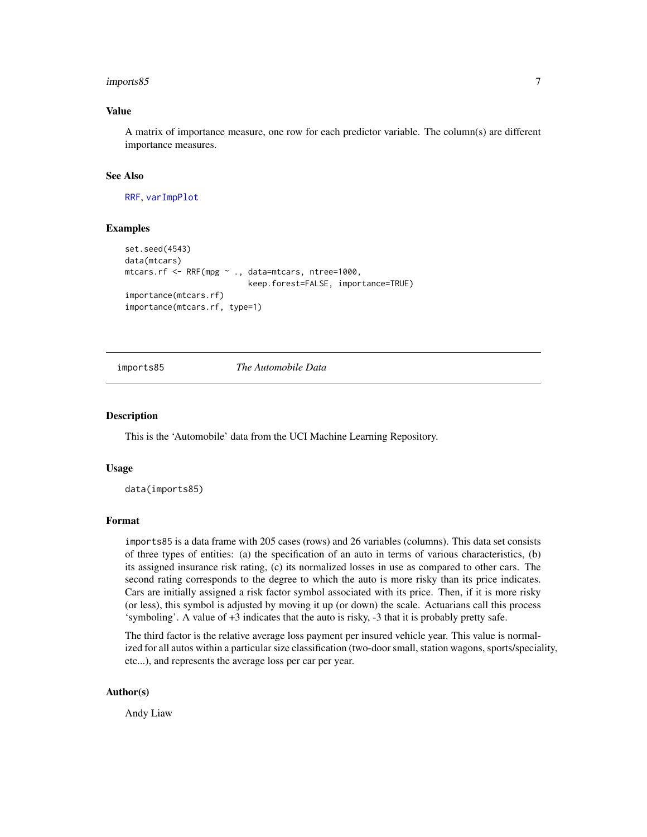#### <span id="page-6-0"></span>imports85 7

# Value

A matrix of importance measure, one row for each predictor variable. The column(s) are different importance measures.

#### See Also

[RRF](#page-16-1), [varImpPlot](#page-25-1)

#### Examples

```
set.seed(4543)
data(mtcars)
mtcars.rf <- RRF(mpg ~ ., data=mtcars, ntree=1000,
                          keep.forest=FALSE, importance=TRUE)
importance(mtcars.rf)
importance(mtcars.rf, type=1)
```
imports85 *The Automobile Data*

#### **Description**

This is the 'Automobile' data from the UCI Machine Learning Repository.

#### Usage

data(imports85)

# Format

imports85 is a data frame with 205 cases (rows) and 26 variables (columns). This data set consists of three types of entities: (a) the specification of an auto in terms of various characteristics, (b) its assigned insurance risk rating, (c) its normalized losses in use as compared to other cars. The second rating corresponds to the degree to which the auto is more risky than its price indicates. Cars are initially assigned a risk factor symbol associated with its price. Then, if it is more risky (or less), this symbol is adjusted by moving it up (or down) the scale. Actuarians call this process 'symboling'. A value of +3 indicates that the auto is risky, -3 that it is probably pretty safe.

The third factor is the relative average loss payment per insured vehicle year. This value is normalized for all autos within a particular size classification (two-door small, station wagons, sports/speciality, etc...), and represents the average loss per car per year.

#### Author(s)

Andy Liaw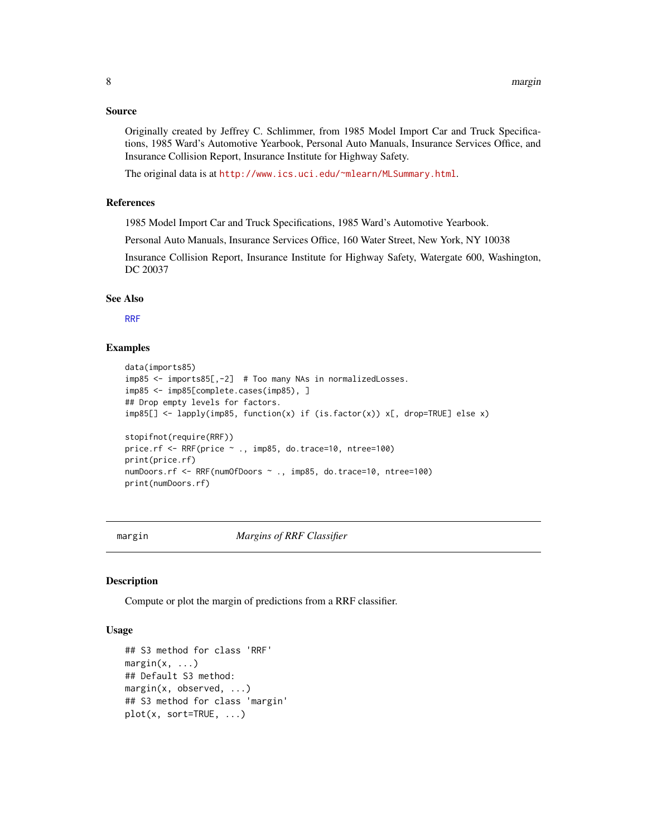### <span id="page-7-0"></span>Source

Originally created by Jeffrey C. Schlimmer, from 1985 Model Import Car and Truck Specifications, 1985 Ward's Automotive Yearbook, Personal Auto Manuals, Insurance Services Office, and Insurance Collision Report, Insurance Institute for Highway Safety.

The original data is at <http://www.ics.uci.edu/~mlearn/MLSummary.html>.

# References

1985 Model Import Car and Truck Specifications, 1985 Ward's Automotive Yearbook.

Personal Auto Manuals, Insurance Services Office, 160 Water Street, New York, NY 10038

Insurance Collision Report, Insurance Institute for Highway Safety, Watergate 600, Washington, DC 20037

#### See Also

[RRF](#page-16-1)

#### Examples

```
data(imports85)
imp85 <- imports85[,-2] # Too many NAs in normalizedLosses.
imp85 <- imp85[complete.cases(imp85), ]
## Drop empty levels for factors.
imp85[] <- lapply(imp85, function(x) if (is.factor(x)) x[, drop=TRUE] else x)
stopifnot(require(RRF))
price.rf <- RRF(price ~ ., imp85, do.trace=10, ntree=100)
print(price.rf)
numDoors.rf <- RRF(numOfDoors ~ ., imp85, do.trace=10, ntree=100)
print(numDoors.rf)
```
margin *Margins of RRF Classifier*

# **Description**

Compute or plot the margin of predictions from a RRF classifier.

#### Usage

```
## S3 method for class 'RRF'
margin(x, \ldots)## Default S3 method:
margin(x, observed, ...)
## S3 method for class 'margin'
plot(x, sort=TRUE, ...)
```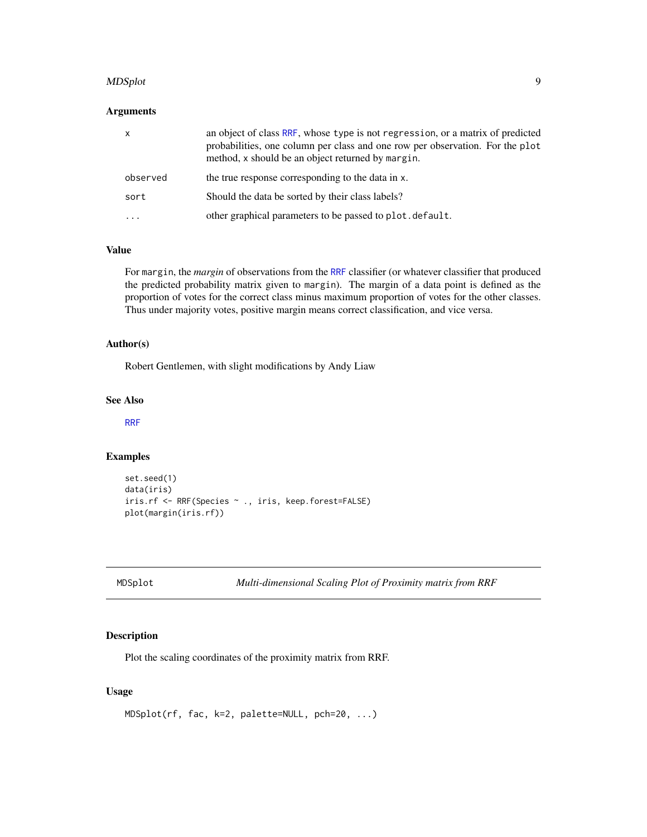#### <span id="page-8-0"></span>MDSplot the contract of the contract of the contract of the contract of the contract of the contract of the contract of the contract of the contract of the contract of the contract of the contract of the contract of the co

# Arguments

| $\mathsf{x}$ | an object of class RRF, whose type is not regression, or a matrix of predicted<br>probabilities, one column per class and one row per observation. For the plot<br>method, x should be an object returned by margin. |
|--------------|----------------------------------------------------------------------------------------------------------------------------------------------------------------------------------------------------------------------|
| observed     | the true response corresponding to the data in x.                                                                                                                                                                    |
| sort         | Should the data be sorted by their class labels?                                                                                                                                                                     |
|              | other graphical parameters to be passed to plot. default.                                                                                                                                                            |

# Value

For margin, the *margin* of observations from the [RRF](#page-16-1) classifier (or whatever classifier that produced the predicted probability matrix given to margin). The margin of a data point is defined as the proportion of votes for the correct class minus maximum proportion of votes for the other classes. Thus under majority votes, positive margin means correct classification, and vice versa.

# Author(s)

Robert Gentlemen, with slight modifications by Andy Liaw

# See Also

[RRF](#page-16-1)

#### Examples

```
set.seed(1)
data(iris)
iris.rf <- RRF(Species ~ ., iris, keep.forest=FALSE)
plot(margin(iris.rf))
```
<span id="page-8-1"></span>MDSplot *Multi-dimensional Scaling Plot of Proximity matrix from RRF*

# Description

Plot the scaling coordinates of the proximity matrix from RRF.

# Usage

MDSplot(rf, fac, k=2, palette=NULL, pch=20, ...)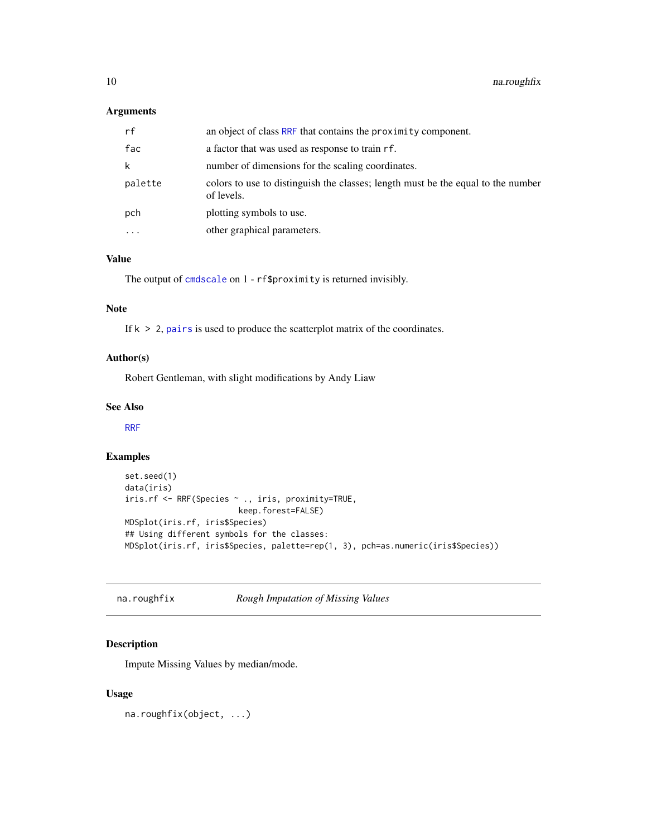# <span id="page-9-0"></span>Arguments

| rf      | an object of class RRF that contains the proximity component.                                  |
|---------|------------------------------------------------------------------------------------------------|
| fac     | a factor that was used as response to train rf.                                                |
| k       | number of dimensions for the scaling coordinates.                                              |
| palette | colors to use to distinguish the classes; length must be the equal to the number<br>of levels. |
| pch     | plotting symbols to use.                                                                       |
| .       | other graphical parameters.                                                                    |

#### Value

The output of [cmdscale](#page-0-0) on 1 - rf\$proximity is returned invisibly.

# Note

If  $k > 2$ , [pairs](#page-0-0) is used to produce the scatterplot matrix of the coordinates.

# Author(s)

Robert Gentleman, with slight modifications by Andy Liaw

#### See Also

[RRF](#page-16-1)

# Examples

```
set.seed(1)
data(iris)
iris.rf <- RRF(Species ~ ., iris, proximity=TRUE,
                        keep.forest=FALSE)
MDSplot(iris.rf, iris$Species)
## Using different symbols for the classes:
MDSplot(iris.rf, iris$Species, palette=rep(1, 3), pch=as.numeric(iris$Species))
```
<span id="page-9-1"></span>na.roughfix *Rough Imputation of Missing Values*

# Description

Impute Missing Values by median/mode.

#### Usage

na.roughfix(object, ...)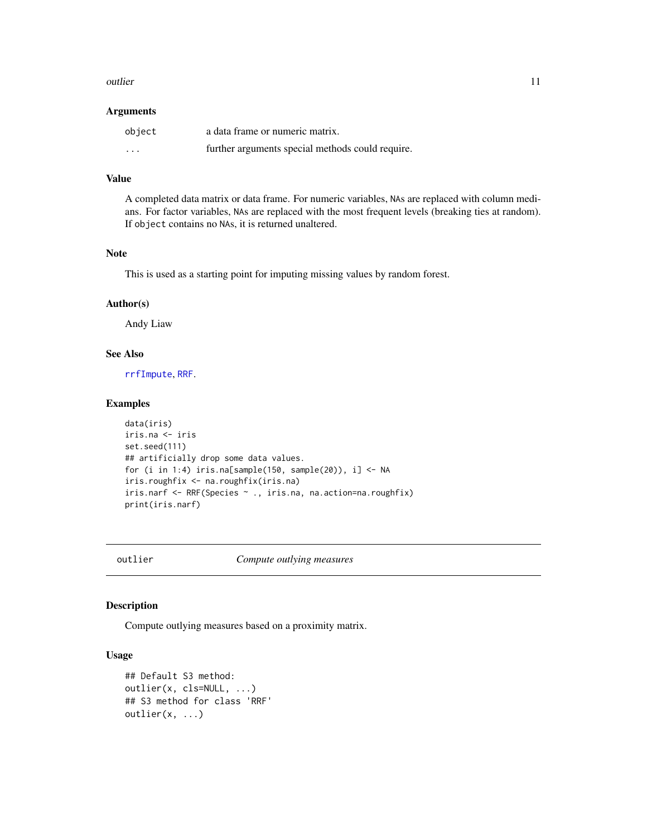#### <span id="page-10-0"></span>outlier that the contract of the contract of the contract of the contract of the contract of the contract of the contract of the contract of the contract of the contract of the contract of the contract of the contract of t

#### Arguments

| object   | a data frame or numeric matrix.                  |
|----------|--------------------------------------------------|
| $\cdots$ | further arguments special methods could require. |

#### Value

A completed data matrix or data frame. For numeric variables, NAs are replaced with column medians. For factor variables, NAs are replaced with the most frequent levels (breaking ties at random). If object contains no NAs, it is returned unaltered.

#### Note

This is used as a starting point for imputing missing values by random forest.

#### Author(s)

Andy Liaw

# See Also

[rrfImpute](#page-22-1), [RRF](#page-16-1).

#### Examples

```
data(iris)
iris.na <- iris
set.seed(111)
## artificially drop some data values.
for (i in 1:4) iris.na[sample(150, sample(20)), i] \leq NA
iris.roughfix <- na.roughfix(iris.na)
iris.narf <- RRF(Species ~ ., iris.na, na.action=na.roughfix)
print(iris.narf)
```
outlier *Compute outlying measures*

# Description

Compute outlying measures based on a proximity matrix.

#### Usage

```
## Default S3 method:
outlier(x, cls=NULL, ...)
## S3 method for class 'RRF'
outlier(x, ...)
```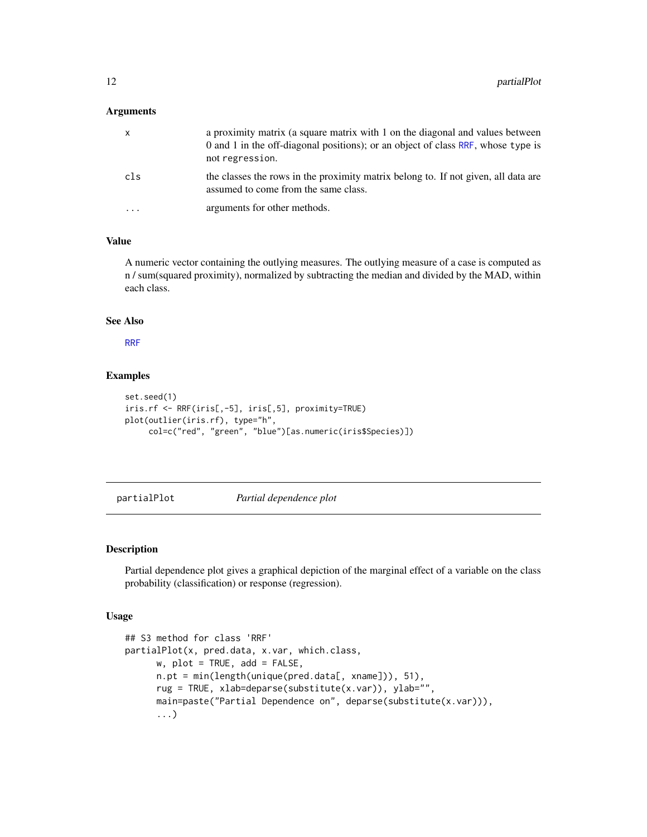#### <span id="page-11-0"></span>**Arguments**

|                         | a proximity matrix (a square matrix with 1 on the diagonal and values between<br>0 and 1 in the off-diagonal positions); or an object of class RRF, whose type is<br>not regression. |
|-------------------------|--------------------------------------------------------------------------------------------------------------------------------------------------------------------------------------|
| cls                     | the classes the rows in the proximity matrix belong to. If not given, all data are<br>assumed to come from the same class.                                                           |
| $\cdot$ $\cdot$ $\cdot$ | arguments for other methods.                                                                                                                                                         |

# Value

A numeric vector containing the outlying measures. The outlying measure of a case is computed as n / sum(squared proximity), normalized by subtracting the median and divided by the MAD, within each class.

# See Also

[RRF](#page-16-1)

# Examples

```
set.seed(1)
iris.rf <- RRF(iris[,-5], iris[,5], proximity=TRUE)
plot(outlier(iris.rf), type="h",
     col=c("red", "green", "blue")[as.numeric(iris$Species)])
```
partialPlot *Partial dependence plot*

#### Description

Partial dependence plot gives a graphical depiction of the marginal effect of a variable on the class probability (classification) or response (regression).

#### Usage

```
## S3 method for class 'RRF'
partialPlot(x, pred.data, x.var, which.class,
     w, plot = TRUE, add = FALSE,
     n.pt = min(length(unique(pred.data[, xname])), 51),
     rug = TRUE, xlab=deparse(substitute(x.var)), ylab="",
     main=paste("Partial Dependence on", deparse(substitute(x.var))),
      ...)
```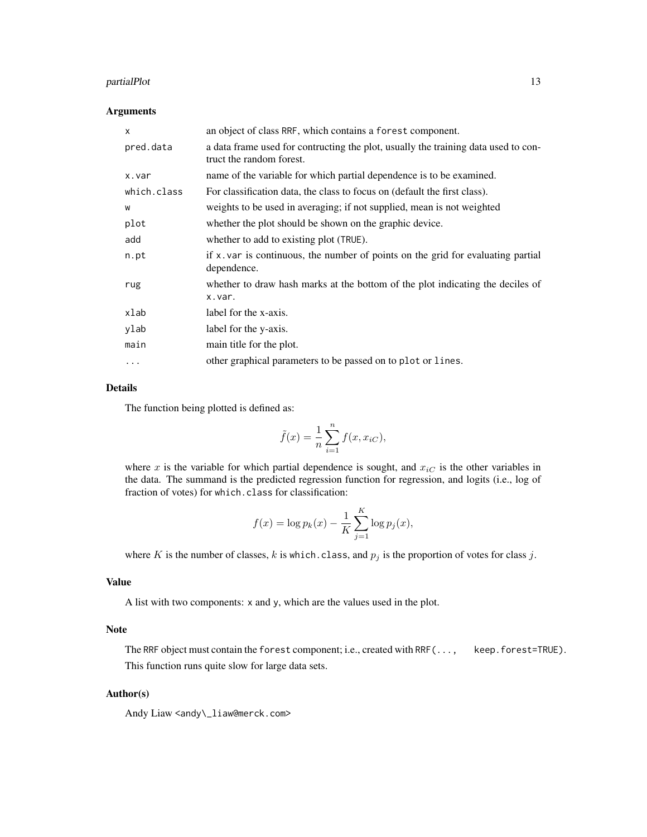# partialPlot 13

#### Arguments

| $\mathsf{x}$ | an object of class RRF, which contains a forest component.                                                     |
|--------------|----------------------------------------------------------------------------------------------------------------|
| pred.data    | a data frame used for contructing the plot, usually the training data used to con-<br>truct the random forest. |
| x.var        | name of the variable for which partial dependence is to be examined.                                           |
| which.class  | For classification data, the class to focus on (default the first class).                                      |
| W            | weights to be used in averaging; if not supplied, mean is not weighted                                         |
| plot         | whether the plot should be shown on the graphic device.                                                        |
| add          | whether to add to existing plot (TRUE).                                                                        |
| n.pt         | if $x$ . var is continuous, the number of points on the grid for evaluating partial<br>dependence.             |
| rug          | whether to draw hash marks at the bottom of the plot indicating the deciles of<br>x.var.                       |
| xlab         | label for the x-axis.                                                                                          |
| ylab         | label for the y-axis.                                                                                          |
| main         | main title for the plot.                                                                                       |
| $\ddotsc$    | other graphical parameters to be passed on to plot or lines.                                                   |

# Details

The function being plotted is defined as:

$$
\tilde{f}(x) = \frac{1}{n} \sum_{i=1}^{n} f(x, x_{iC}),
$$

where x is the variable for which partial dependence is sought, and  $x_{iC}$  is the other variables in the data. The summand is the predicted regression function for regression, and logits (i.e., log of fraction of votes) for which.class for classification:

$$
f(x) = \log p_k(x) - \frac{1}{K} \sum_{j=1}^{K} \log p_j(x),
$$

where K is the number of classes, k is which.class, and  $p_j$  is the proportion of votes for class j.

# Value

A list with two components: x and y, which are the values used in the plot.

#### Note

The RRF object must contain the forest component; i.e., created with RRF(..., keep.forest=TRUE). This function runs quite slow for large data sets.

# Author(s)

Andy Liaw <andy\\_liaw@merck.com>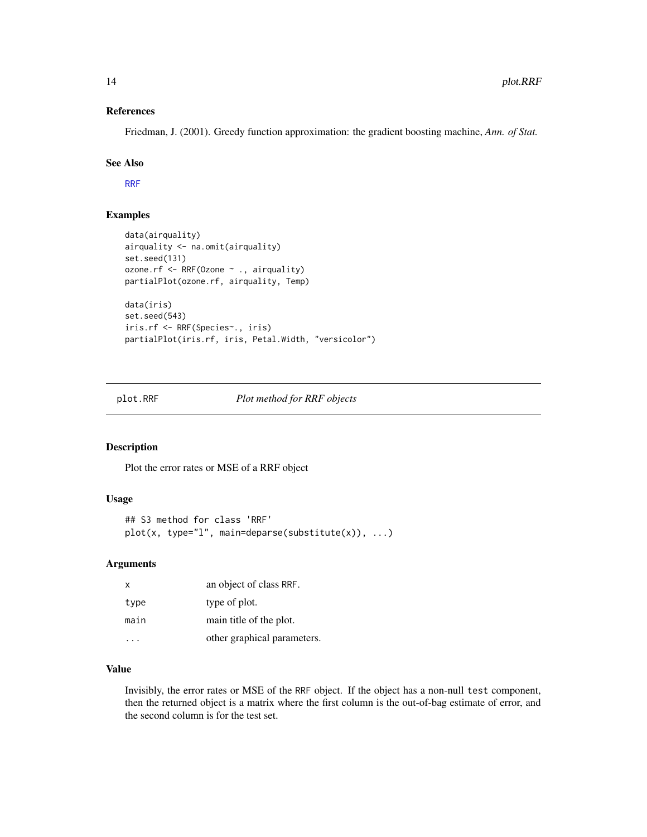#### References

Friedman, J. (2001). Greedy function approximation: the gradient boosting machine, *Ann. of Stat.*

# See Also

[RRF](#page-16-1)

# Examples

```
data(airquality)
airquality <- na.omit(airquality)
set.seed(131)
ozone.rf <- RRF(Ozone ~ ., airquality)
partialPlot(ozone.rf, airquality, Temp)
data(iris)
set.seed(543)
iris.rf <- RRF(Species~., iris)
partialPlot(iris.rf, iris, Petal.Width, "versicolor")
```
plot.RRF *Plot method for RRF objects*

# Description

Plot the error rates or MSE of a RRF object

# Usage

```
## S3 method for class 'RRF'
plot(x, type="l", main=deparse(substitute(x)), ...)
```
# Arguments

| $\times$ | an object of class RRF.     |
|----------|-----------------------------|
| type     | type of plot.               |
| main     | main title of the plot.     |
|          | other graphical parameters. |

#### Value

Invisibly, the error rates or MSE of the RRF object. If the object has a non-null test component, then the returned object is a matrix where the first column is the out-of-bag estimate of error, and the second column is for the test set.

<span id="page-13-0"></span>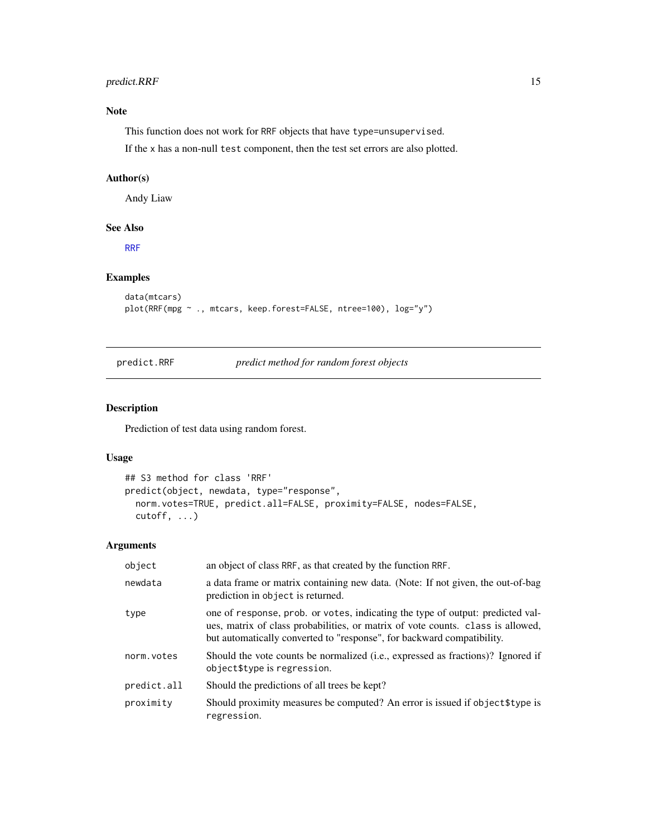# <span id="page-14-0"></span>predict.RRF 15

# Note

This function does not work for RRF objects that have type=unsupervised.

If the x has a non-null test component, then the test set errors are also plotted.

#### Author(s)

Andy Liaw

# See Also

[RRF](#page-16-1)

# Examples

```
data(mtcars)
plot(RRF(mpg ~ ., mtcars, keep.forest=FALSE, ntree=100), log="y")
```

```
predict.RRF predict method for random forest objects
```
# Description

Prediction of test data using random forest.

#### Usage

```
## S3 method for class 'RRF'
predict(object, newdata, type="response",
 norm.votes=TRUE, predict.all=FALSE, proximity=FALSE, nodes=FALSE,
 cutoff, ...)
```
# Arguments

| object      | an object of class RRF, as that created by the function RRF.                                                                                                                                                                                |
|-------------|---------------------------------------------------------------------------------------------------------------------------------------------------------------------------------------------------------------------------------------------|
| newdata     | a data frame or matrix containing new data. (Note: If not given, the out-of-bag<br>prediction in object is returned.                                                                                                                        |
| type        | one of response, prob. or votes, indicating the type of output: predicted val-<br>ues, matrix of class probabilities, or matrix of vote counts. class is allowed,<br>but automatically converted to "response", for backward compatibility. |
| norm.votes  | Should the vote counts be normalized (i.e., expressed as fractions)? Ignored if<br>object\$type is regression.                                                                                                                              |
| predict.all | Should the predictions of all trees be kept?                                                                                                                                                                                                |
| proximity   | Should proximity measures be computed? An error is issued if object\$type is<br>regression.                                                                                                                                                 |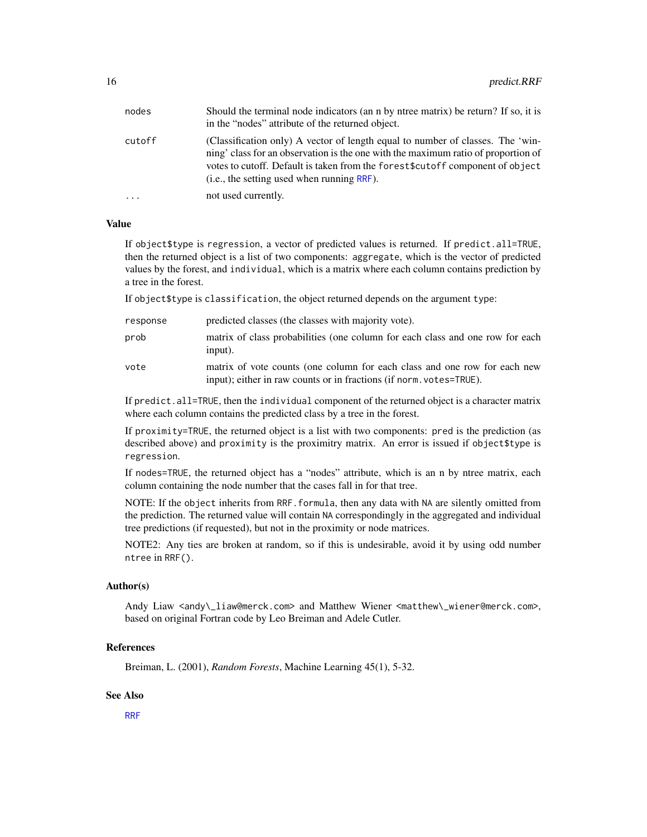<span id="page-15-0"></span>

| nodes  | Should the terminal node indicators (an n by ntree matrix) be return? If so, it is<br>in the "nodes" attribute of the returned object.                                                                                                                                                              |
|--------|-----------------------------------------------------------------------------------------------------------------------------------------------------------------------------------------------------------------------------------------------------------------------------------------------------|
| cutoff | (Classification only) A vector of length equal to number of classes. The 'win-<br>ning' class for an observation is the one with the maximum ratio of proportion of<br>votes to cutoff. Default is taken from the forest \$cutoff component of object<br>(i.e., the setting used when running RRF). |
| .      | not used currently.                                                                                                                                                                                                                                                                                 |

#### Value

If object\$type is regression, a vector of predicted values is returned. If predict.all=TRUE, then the returned object is a list of two components: aggregate, which is the vector of predicted values by the forest, and individual, which is a matrix where each column contains prediction by a tree in the forest.

If object\$type is classification, the object returned depends on the argument type:

| response | predicted classes (the classes with majority vote).                                                                                              |
|----------|--------------------------------------------------------------------------------------------------------------------------------------------------|
| prob     | matrix of class probabilities (one column for each class and one row for each<br>input).                                                         |
| vote     | matrix of vote counts (one column for each class and one row for each new<br>input); either in raw counts or in fractions (if norm, votes=TRUE). |

If predict.all=TRUE, then the individual component of the returned object is a character matrix where each column contains the predicted class by a tree in the forest.

If proximity=TRUE, the returned object is a list with two components: pred is the prediction (as described above) and proximity is the proximitry matrix. An error is issued if object\$type is regression.

If nodes=TRUE, the returned object has a "nodes" attribute, which is an n by ntree matrix, each column containing the node number that the cases fall in for that tree.

NOTE: If the object inherits from RRF.formula, then any data with NA are silently omitted from the prediction. The returned value will contain NA correspondingly in the aggregated and individual tree predictions (if requested), but not in the proximity or node matrices.

NOTE2: Any ties are broken at random, so if this is undesirable, avoid it by using odd number ntree in RRF().

# Author(s)

Andy Liaw <andy\\_liaw@merck.com> and Matthew Wiener <matthew\\_wiener@merck.com>, based on original Fortran code by Leo Breiman and Adele Cutler.

#### References

Breiman, L. (2001), *Random Forests*, Machine Learning 45(1), 5-32.

# See Also

[RRF](#page-16-1)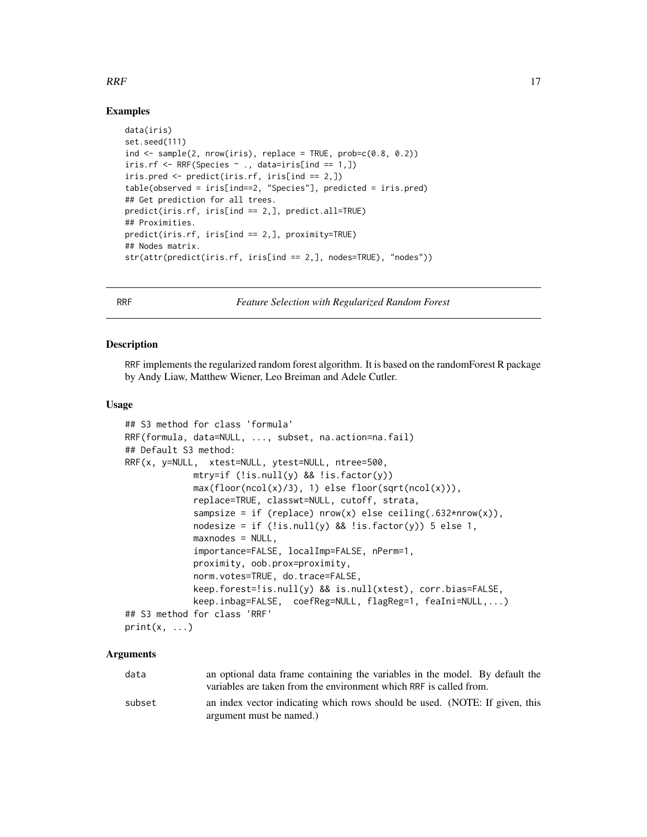# <span id="page-16-0"></span> $RRF$  17

# Examples

```
data(iris)
set.seed(111)
ind \leq sample(2, nrow(iris), replace = TRUE, prob=c(0.8, 0.2))
iris.rf \leq RRF(Species \sim ., data=iris[ind == 1,])
iris.pred <- predict(iris.rf, iris[ind == 2,])
table(observed = iris[ind==2, "Species"], predicted = iris.pred)
## Get prediction for all trees.
predict(iris.rf, iris[ind == 2,], predict.all=TRUE)
## Proximities.
predict(iris.rf, iris[ind == 2,], proximity=TRUE)
## Nodes matrix.
str(attr(predict(iris.rf, iris[ind == 2,], nodes=TRUE), "nodes"))
```
<span id="page-16-1"></span>RRF *Feature Selection with Regularized Random Forest*

#### **Description**

RRF implements the regularized random forest algorithm. It is based on the randomForest R package by Andy Liaw, Matthew Wiener, Leo Breiman and Adele Cutler.

# Usage

```
## S3 method for class 'formula'
RRF(formula, data=NULL, ..., subset, na.action=na.fail)
## Default S3 method:
RRF(x, y=NULL, xtest=NULL, ytest=NULL, ntree=500,
            mtry=if (!is.null(y) && !is.factor(y))
            max(floor(ncol(x)/3), 1) else floor(sqrt(ncol(x))),replace=TRUE, classwt=NULL, cutoff, strata,
             sampsize = if (replace) nrow(x) else ceiling(.632*nrow(x)),
             nodesize = if (!is.null(y) && !is.factor(y)) 5 else 1,
             maxnodes = NULL,importance=FALSE, localImp=FALSE, nPerm=1,
             proximity, oob.prox=proximity,
             norm.votes=TRUE, do.trace=FALSE,
             keep.forest=!is.null(y) && is.null(xtest), corr.bias=FALSE,
            keep.inbag=FALSE, coefReg=NULL, flagReg=1, feaIni=NULL,...)
## S3 method for class 'RRF'
print(x, \ldots)
```
#### Arguments

| data   | an optional data frame containing the variables in the model. By default the |
|--------|------------------------------------------------------------------------------|
|        | variables are taken from the environment which RRF is called from.           |
| subset | an index vector indicating which rows should be used. (NOTE: If given, this  |
|        | argument must be named.)                                                     |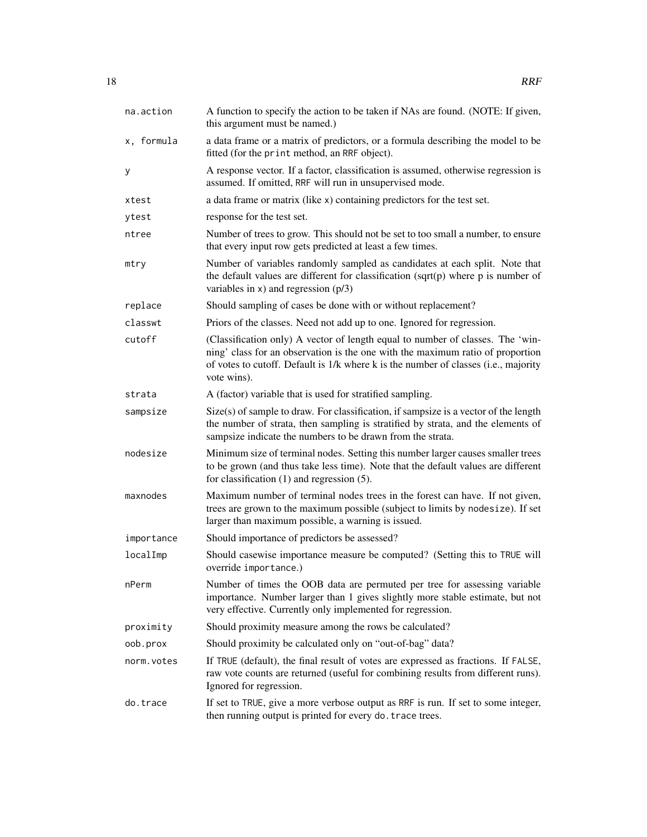| na.action  | A function to specify the action to be taken if NAs are found. (NOTE: If given,<br>this argument must be named.)                                                                                                                                                       |
|------------|------------------------------------------------------------------------------------------------------------------------------------------------------------------------------------------------------------------------------------------------------------------------|
| x, formula | a data frame or a matrix of predictors, or a formula describing the model to be<br>fitted (for the print method, an RRF object).                                                                                                                                       |
| у          | A response vector. If a factor, classification is assumed, otherwise regression is<br>assumed. If omitted, RRF will run in unsupervised mode.                                                                                                                          |
| xtest      | a data frame or matrix (like x) containing predictors for the test set.                                                                                                                                                                                                |
| ytest      | response for the test set.                                                                                                                                                                                                                                             |
| ntree      | Number of trees to grow. This should not be set to too small a number, to ensure<br>that every input row gets predicted at least a few times.                                                                                                                          |
| mtry       | Number of variables randomly sampled as candidates at each split. Note that<br>the default values are different for classification (sqrt(p) where $p$ is number of<br>variables in $x)$ and regression ( $p/3$ )                                                       |
| replace    | Should sampling of cases be done with or without replacement?                                                                                                                                                                                                          |
| classwt    | Priors of the classes. Need not add up to one. Ignored for regression.                                                                                                                                                                                                 |
| cutoff     | (Classification only) A vector of length equal to number of classes. The 'win-<br>ning' class for an observation is the one with the maximum ratio of proportion<br>of votes to cutoff. Default is 1/k where k is the number of classes (i.e., majority<br>vote wins). |
| strata     | A (factor) variable that is used for stratified sampling.                                                                                                                                                                                                              |
| sampsize   | $Size(s)$ of sample to draw. For classification, if sampsize is a vector of the length<br>the number of strata, then sampling is stratified by strata, and the elements of<br>sampsize indicate the numbers to be drawn from the strata.                               |
| nodesize   | Minimum size of terminal nodes. Setting this number larger causes smaller trees<br>to be grown (and thus take less time). Note that the default values are different<br>for classification $(1)$ and regression $(5)$ .                                                |
| maxnodes   | Maximum number of terminal nodes trees in the forest can have. If not given,<br>trees are grown to the maximum possible (subject to limits by nodesize). If set<br>larger than maximum possible, a warning is issued.                                                  |
| importance | Should importance of predictors be assessed?                                                                                                                                                                                                                           |
| localImp   | Should casewise importance measure be computed? (Setting this to TRUE will<br>override importance.)                                                                                                                                                                    |
| nPerm      | Number of times the OOB data are permuted per tree for assessing variable<br>importance. Number larger than 1 gives slightly more stable estimate, but not<br>very effective. Currently only implemented for regression.                                               |
| proximity  | Should proximity measure among the rows be calculated?                                                                                                                                                                                                                 |
| oob.prox   | Should proximity be calculated only on "out-of-bag" data?                                                                                                                                                                                                              |
| norm.votes | If TRUE (default), the final result of votes are expressed as fractions. If FALSE,<br>raw vote counts are returned (useful for combining results from different runs).<br>Ignored for regression.                                                                      |
| do.trace   | If set to TRUE, give a more verbose output as RRF is run. If set to some integer,<br>then running output is printed for every do. trace trees.                                                                                                                         |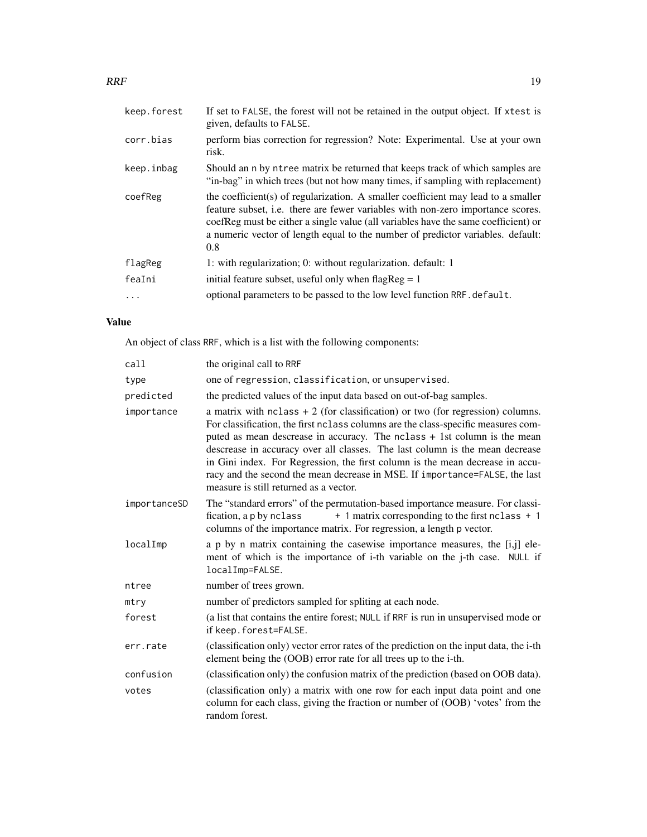# $RRF$  19

| keep.forest | If set to FALSE, the forest will not be retained in the output object. If xtest is<br>given, defaults to FALSE.                                                                                                                                                                                                                                             |
|-------------|-------------------------------------------------------------------------------------------------------------------------------------------------------------------------------------------------------------------------------------------------------------------------------------------------------------------------------------------------------------|
| corr.bias   | perform bias correction for regression? Note: Experimental. Use at your own<br>risk.                                                                                                                                                                                                                                                                        |
| keep.inbag  | Should an n by ntree matrix be returned that keeps track of which samples are<br>"in-bag" in which trees (but not how many times, if sampling with replacement)                                                                                                                                                                                             |
| coefReg     | the coefficient(s) of regularization. A smaller coefficient may lead to a smaller<br>feature subset, <i>i.e.</i> there are fewer variables with non-zero importance scores.<br>coefReg must be either a single value (all variables have the same coefficient) or<br>a numeric vector of length equal to the number of predictor variables. default:<br>0.8 |
| flagReg     | 1: with regularization; 0: without regularization. default: 1                                                                                                                                                                                                                                                                                               |
| feaIni      | initial feature subset, useful only when flag $Reg = 1$                                                                                                                                                                                                                                                                                                     |
|             | optional parameters to be passed to the low level function RRF. default.                                                                                                                                                                                                                                                                                    |

# Value

An object of class RRF, which is a list with the following components:

| call         | the original call to RRF                                                                                                                                                                                                                                                                                                                                                                                                                                                                                                                    |
|--------------|---------------------------------------------------------------------------------------------------------------------------------------------------------------------------------------------------------------------------------------------------------------------------------------------------------------------------------------------------------------------------------------------------------------------------------------------------------------------------------------------------------------------------------------------|
| type         | one of regression, classification, or unsupervised.                                                                                                                                                                                                                                                                                                                                                                                                                                                                                         |
| predicted    | the predicted values of the input data based on out-of-bag samples.                                                                                                                                                                                                                                                                                                                                                                                                                                                                         |
| importance   | a matrix with $nclass + 2$ (for classification) or two (for regression) columns.<br>For classification, the first nclass columns are the class-specific measures com-<br>puted as mean descrease in accuracy. The nclass + 1st column is the mean<br>descrease in accuracy over all classes. The last column is the mean decrease<br>in Gini index. For Regression, the first column is the mean decrease in accu-<br>racy and the second the mean decrease in MSE. If importance=FALSE, the last<br>measure is still returned as a vector. |
| importanceSD | The "standard errors" of the permutation-based importance measure. For classi-<br>+ 1 matrix corresponding to the first nclass + 1<br>fication, a p by nclass<br>columns of the importance matrix. For regression, a length p vector.                                                                                                                                                                                                                                                                                                       |
| localImp     | a p by n matrix containing the casewise importance measures, the [i,j] ele-<br>ment of which is the importance of i-th variable on the j-th case. NULL if<br>localImp=FALSE.                                                                                                                                                                                                                                                                                                                                                                |
| ntree        | number of trees grown.                                                                                                                                                                                                                                                                                                                                                                                                                                                                                                                      |
| mtry         | number of predictors sampled for spliting at each node.                                                                                                                                                                                                                                                                                                                                                                                                                                                                                     |
| forest       | (a list that contains the entire forest; NULL if RRF is run in unsupervised mode or<br>if keep. forest=FALSE.                                                                                                                                                                                                                                                                                                                                                                                                                               |
| err.rate     | (classification only) vector error rates of the prediction on the input data, the i-th<br>element being the (OOB) error rate for all trees up to the i-th.                                                                                                                                                                                                                                                                                                                                                                                  |
| confusion    | (classification only) the confusion matrix of the prediction (based on OOB data).                                                                                                                                                                                                                                                                                                                                                                                                                                                           |
| votes        | (classification only) a matrix with one row for each input data point and one<br>column for each class, giving the fraction or number of (OOB) 'votes' from the<br>random forest.                                                                                                                                                                                                                                                                                                                                                           |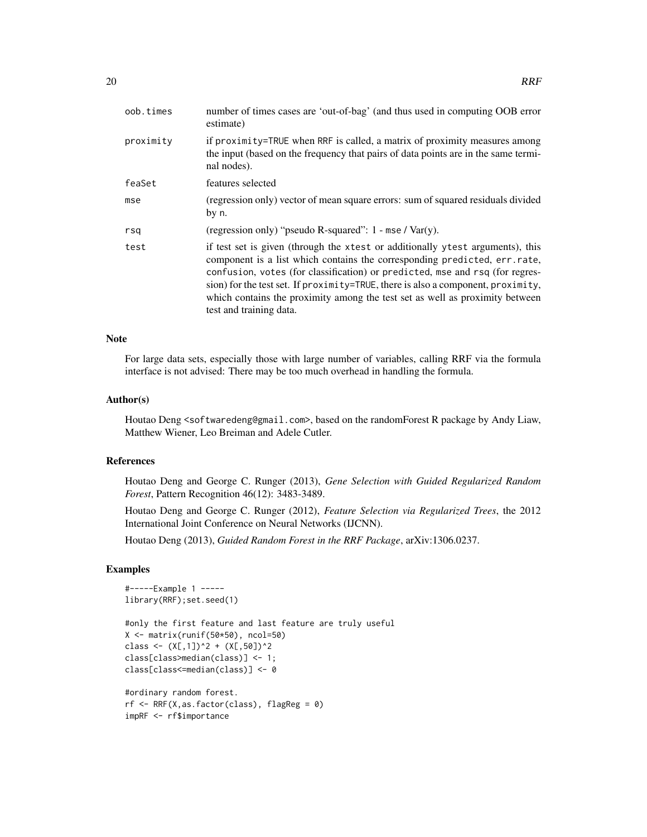| oob.times | number of times cases are 'out-of-bag' (and thus used in computing OOB error<br>estimate)                                                                                                                                                                                                                                                                                                                                                  |
|-----------|--------------------------------------------------------------------------------------------------------------------------------------------------------------------------------------------------------------------------------------------------------------------------------------------------------------------------------------------------------------------------------------------------------------------------------------------|
| proximity | if proximity=TRUE when RRF is called, a matrix of proximity measures among<br>the input (based on the frequency that pairs of data points are in the same termi-<br>nal nodes).                                                                                                                                                                                                                                                            |
| feaSet    | features selected                                                                                                                                                                                                                                                                                                                                                                                                                          |
| mse       | (regression only) vector of mean square errors: sum of squared residuals divided<br>by n.                                                                                                                                                                                                                                                                                                                                                  |
| rsq       | (regression only) "pseudo R-squared": $1 - \text{mse} / \text{Var}(y)$ .                                                                                                                                                                                                                                                                                                                                                                   |
| test      | if test set is given (through the xtest or additionally ytest arguments), this<br>component is a list which contains the corresponding predicted, err.rate,<br>confusion, votes (for classification) or predicted, mse and rsq (for regres-<br>sion) for the test set. If proximity=TRUE, there is also a component, proximity,<br>which contains the proximity among the test set as well as proximity between<br>test and training data. |

# Note

For large data sets, especially those with large number of variables, calling RRF via the formula interface is not advised: There may be too much overhead in handling the formula.

# Author(s)

Houtao Deng <softwaredeng@gmail.com>, based on the randomForest R package by Andy Liaw, Matthew Wiener, Leo Breiman and Adele Cutler.

# References

Houtao Deng and George C. Runger (2013), *Gene Selection with Guided Regularized Random Forest*, Pattern Recognition 46(12): 3483-3489.

Houtao Deng and George C. Runger (2012), *Feature Selection via Regularized Trees*, the 2012 International Joint Conference on Neural Networks (IJCNN).

Houtao Deng (2013), *Guided Random Forest in the RRF Package*, arXiv:1306.0237.

# Examples

```
#-----Example 1 -----
library(RRF);set.seed(1)
```

```
#only the first feature and last feature are truly useful
X <- matrix(runif(50*50), ncol=50)
class <- (X[,1])^2 + (X[,50])^2class[class>median(class)] <- 1;
class[class<=median(class)] <- 0
```

```
#ordinary random forest.
rf \leftarrow RRF(X, as.factor(class), flagReg = 0)impRF <- rf$importance
```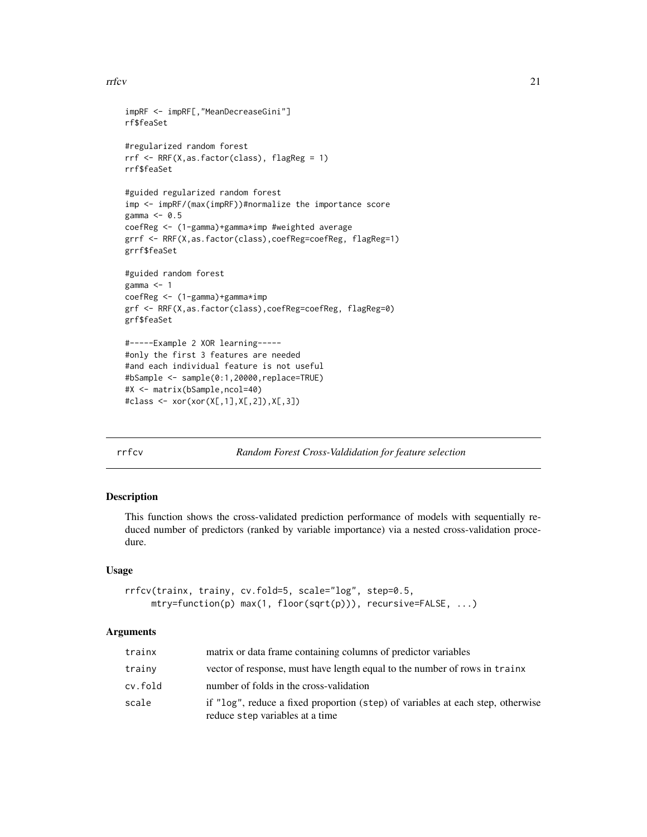#### <span id="page-20-0"></span>rrfcv 21

```
impRF <- impRF[,"MeanDecreaseGini"]
rf$feaSet
#regularized random forest
rrf <- RRF(X,as.factor(class), flagReg = 1)
rrf$feaSet
#guided regularized random forest
imp <- impRF/(max(impRF))#normalize the importance score
gamma <- 0.5
coefReg <- (1-gamma)+gamma*imp #weighted average
grrf <- RRF(X,as.factor(class),coefReg=coefReg, flagReg=1)
grrf$feaSet
#guided random forest
gamma <- 1
coefReg <- (1-gamma)+gamma*imp
grf <- RRF(X,as.factor(class),coefReg=coefReg, flagReg=0)
grf$feaSet
#-----Example 2 XOR learning-----
#only the first 3 features are needed
#and each individual feature is not useful
#bSample <- sample(0:1,20000,replace=TRUE)
#X <- matrix(bSample,ncol=40)
#class <- xor(xor(X[,1],X[,2]),X[,3])
```
rrfcv *Random Forest Cross-Valdidation for feature selection*

#### Description

This function shows the cross-validated prediction performance of models with sequentially reduced number of predictors (ranked by variable importance) via a nested cross-validation procedure.

#### Usage

```
rrfcv(trainx, trainy, cv.fold=5, scale="log", step=0.5,
    mtry=function(p) max(1, floor(sqrt(p))), recursive=FALSE, ...)
```
#### Arguments

| trainx  | matrix or data frame containing columns of predictor variables                                                     |
|---------|--------------------------------------------------------------------------------------------------------------------|
| trainy  | vector of response, must have length equal to the number of rows in trainx                                         |
| cv.fold | number of folds in the cross-validation                                                                            |
| scale   | if "log", reduce a fixed proportion (step) of variables at each step, otherwise<br>reduce step variables at a time |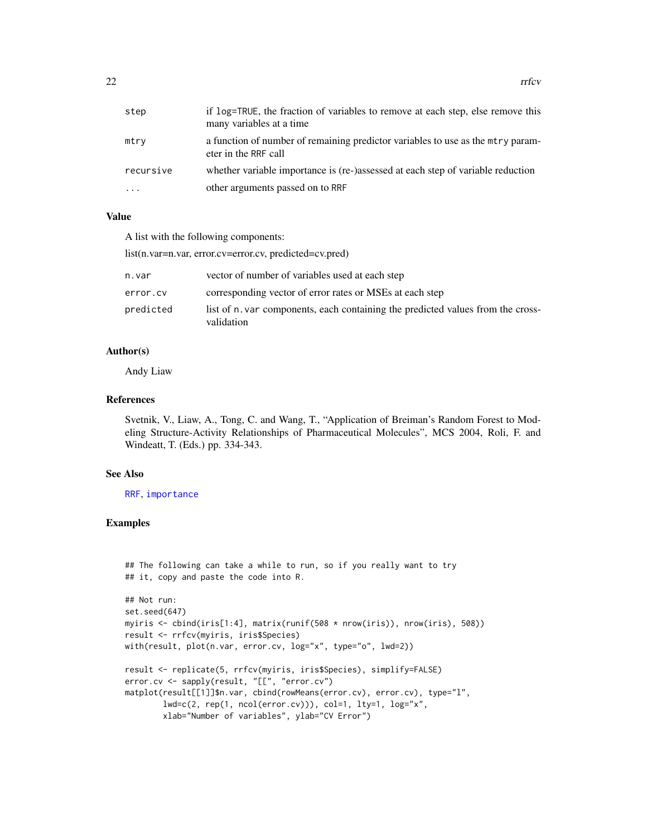<span id="page-21-0"></span>

| step      | if log=TRUE, the fraction of variables to remove at each step, else remove this<br>many variables at a time |
|-----------|-------------------------------------------------------------------------------------------------------------|
| mtry      | a function of number of remaining predictor variables to use as the mtry param-<br>eter in the RRF call     |
| recursive | whether variable importance is (re-)assessed at each step of variable reduction                             |
| .         | other arguments passed on to RRF                                                                            |

#### Value

A list with the following components:

list(n.var=n.var, error.cv=error.cv, predicted=cv.pred)

| n.var     | vector of number of variables used at each step                                               |
|-----------|-----------------------------------------------------------------------------------------------|
| error.cv  | corresponding vector of error rates or MSEs at each step                                      |
| predicted | list of n, var components, each containing the predicted values from the cross-<br>validation |

#### Author(s)

Andy Liaw

# References

Svetnik, V., Liaw, A., Tong, C. and Wang, T., "Application of Breiman's Random Forest to Modeling Structure-Activity Relationships of Pharmaceutical Molecules", MCS 2004, Roli, F. and Windeatt, T. (Eds.) pp. 334-343.

#### See Also

[RRF](#page-16-1), [importance](#page-5-1)

# Examples

```
## The following can take a while to run, so if you really want to try
## it, copy and paste the code into R.
```

```
## Not run:
set.seed(647)
myiris <- cbind(iris[1:4], matrix(runif(508 * nrow(iris)), nrow(iris), 508))
result <- rrfcv(myiris, iris$Species)
with(result, plot(n.var, error.cv, log="x", type="o", lwd=2))
result <- replicate(5, rrfcv(myiris, iris$Species), simplify=FALSE)
error.cv <- sapply(result, "[[", "error.cv")
matplot(result[[1]]$n.var, cbind(rowMeans(error.cv), error.cv), type="l",
       lwd=c(2, rep(1, ncol(error.cv))), col=1, lty=1, log='x",
```
xlab="Number of variables", ylab="CV Error")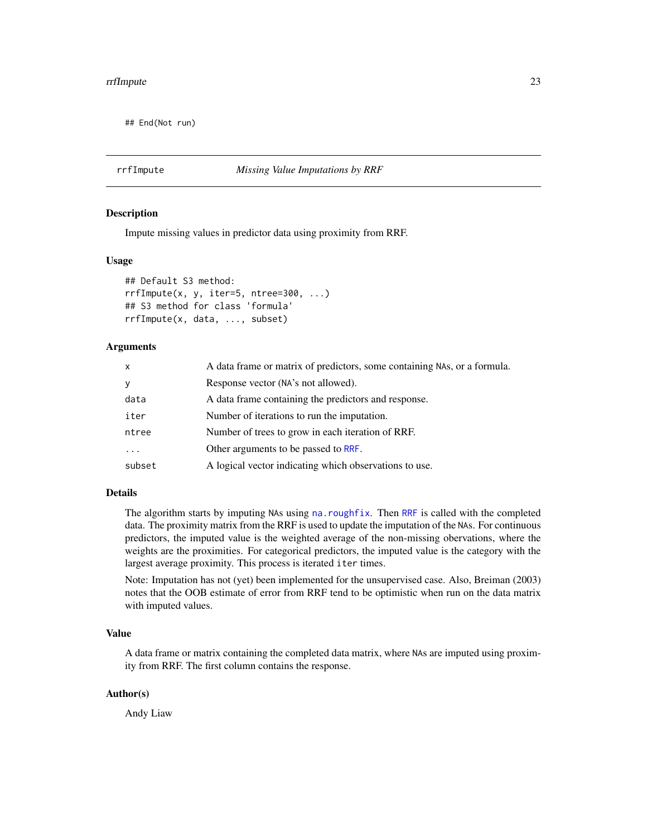#### <span id="page-22-0"></span>rrfImpute 23

## End(Not run)

#### <span id="page-22-1"></span>rrfImpute *Missing Value Imputations by RRF*

#### Description

Impute missing values in predictor data using proximity from RRF.

#### Usage

```
## Default S3 method:
rrfImpute(x, y, iter=5, ntree=300, ...)
## S3 method for class 'formula'
rrfImpute(x, data, ..., subset)
```
# Arguments

| $\mathsf{x}$ | A data frame or matrix of predictors, some containing NAs, or a formula. |
|--------------|--------------------------------------------------------------------------|
| y            | Response vector (NA's not allowed).                                      |
| data         | A data frame containing the predictors and response.                     |
| iter         | Number of iterations to run the imputation.                              |
| ntree        | Number of trees to grow in each iteration of RRF.                        |
| $\cdots$     | Other arguments to be passed to RRF.                                     |
| subset       | A logical vector indicating which observations to use.                   |

# Details

The algorithm starts by imputing NAs using [na.roughfix](#page-9-1). Then [RRF](#page-16-1) is called with the completed data. The proximity matrix from the RRF is used to update the imputation of the NAs. For continuous predictors, the imputed value is the weighted average of the non-missing obervations, where the weights are the proximities. For categorical predictors, the imputed value is the category with the largest average proximity. This process is iterated iter times.

Note: Imputation has not (yet) been implemented for the unsupervised case. Also, Breiman (2003) notes that the OOB estimate of error from RRF tend to be optimistic when run on the data matrix with imputed values.

# Value

A data frame or matrix containing the completed data matrix, where NAs are imputed using proximity from RRF. The first column contains the response.

#### Author(s)

Andy Liaw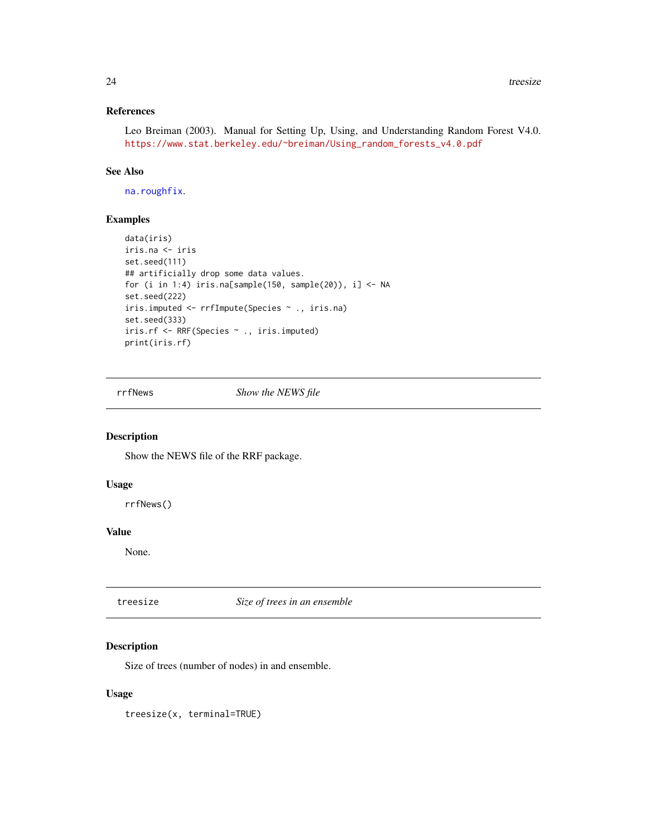# <span id="page-23-0"></span>References

Leo Breiman (2003). Manual for Setting Up, Using, and Understanding Random Forest V4.0. [https://www.stat.berkeley.edu/~breiman/Using\\_random\\_forests\\_v4.0.pdf](https://www.stat.berkeley.edu/~breiman/Using_random_forests_v4.0.pdf)

# See Also

[na.roughfix](#page-9-1).

#### Examples

```
data(iris)
iris.na <- iris
set.seed(111)
## artificially drop some data values.
for (i in 1:4) iris.na[sample(150, sample(20)), i] <- NA
set.seed(222)
iris.imputed <- rrfImpute(Species ~ ., iris.na)
set.seed(333)
iris.rf <- RRF(Species ~ ., iris.imputed)
print(iris.rf)
```
rrfNews *Show the NEWS file*

# Description

Show the NEWS file of the RRF package.

# Usage

rrfNews()

#### Value

None.

treesize *Size of trees in an ensemble*

# Description

Size of trees (number of nodes) in and ensemble.

#### Usage

treesize(x, terminal=TRUE)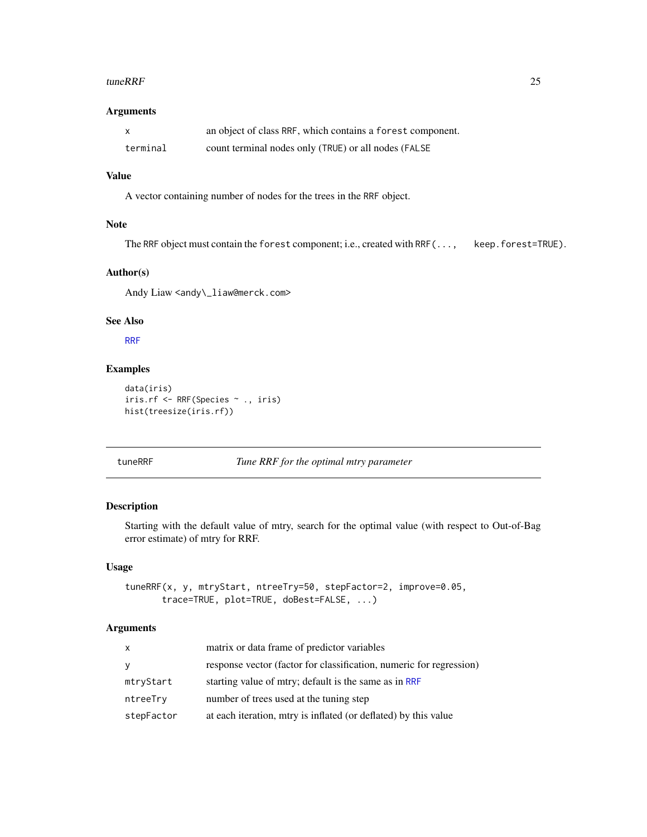#### <span id="page-24-0"></span>tuneRRF 25

#### Arguments

| $\mathsf{X}$ | an object of class RRF, which contains a forest component. |
|--------------|------------------------------------------------------------|
| terminal     | count terminal nodes only (TRUE) or all nodes (FALSE       |

# Value

A vector containing number of nodes for the trees in the RRF object.

# Note

The RRF object must contain the forest component; i.e., created with RRF(..., keep.forest=TRUE).

# Author(s)

Andy Liaw <andy\\_liaw@merck.com>

# See Also

[RRF](#page-16-1)

# Examples

```
data(iris)
iris.rf <- RRF(Species ~ ., iris)
hist(treesize(iris.rf))
```
# tuneRRF *Tune RRF for the optimal mtry parameter*

# Description

Starting with the default value of mtry, search for the optimal value (with respect to Out-of-Bag error estimate) of mtry for RRF.

# Usage

```
tuneRRF(x, y, mtryStart, ntreeTry=50, stepFactor=2, improve=0.05,
       trace=TRUE, plot=TRUE, doBest=FALSE, ...)
```
# Arguments

| X          | matrix or data frame of predictor variables                         |
|------------|---------------------------------------------------------------------|
| У          | response vector (factor for classification, numeric for regression) |
| mtryStart  | starting value of mtry; default is the same as in RRF               |
| ntreeTry   | number of trees used at the tuning step                             |
| stepFactor | at each iteration, mtry is inflated (or deflated) by this value     |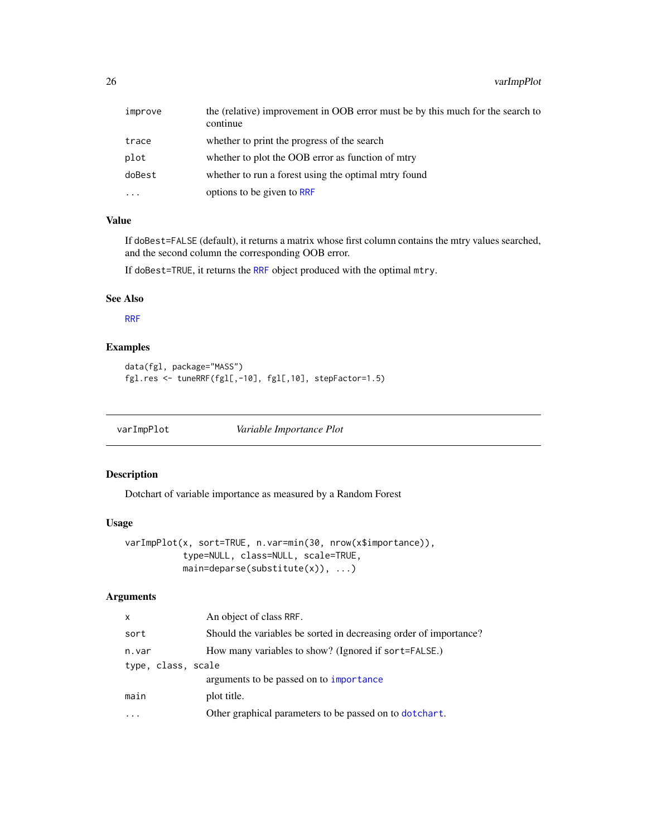<span id="page-25-0"></span>

| improve  | the (relative) improvement in OOB error must be by this much for the search to<br>continue |
|----------|--------------------------------------------------------------------------------------------|
| trace    | whether to print the progress of the search                                                |
| plot     | whether to plot the OOB error as function of mtry                                          |
| doBest   | whether to run a forest using the optimal miry found                                       |
| $\cdots$ | options to be given to RRF                                                                 |

# Value

If doBest=FALSE (default), it returns a matrix whose first column contains the mtry values searched, and the second column the corresponding OOB error.

If doBest=TRUE, it returns the [RRF](#page-16-1) object produced with the optimal mtry.

#### See Also

[RRF](#page-16-1)

# Examples

```
data(fgl, package="MASS")
fgl.res <- tuneRRF(fgl[,-10], fgl[,10], stepFactor=1.5)
```
<span id="page-25-1"></span>varImpPlot *Variable Importance Plot*

# Description

Dotchart of variable importance as measured by a Random Forest

# Usage

```
varImpPlot(x, sort=TRUE, n.var=min(30, nrow(x$importance)),
           type=NULL, class=NULL, scale=TRUE,
          main=deparse(substitute(x)), ...)
```
#### Arguments

| $\mathsf{x}$       | An object of class RRF.                                           |
|--------------------|-------------------------------------------------------------------|
| sort               | Should the variables be sorted in decreasing order of importance? |
| n.var              | How many variables to show? (Ignored if sort=FALSE.)              |
| type, class, scale |                                                                   |
|                    | arguments to be passed on to importance                           |
| main               | plot title.                                                       |
|                    | Other graphical parameters to be passed on to dotchart.           |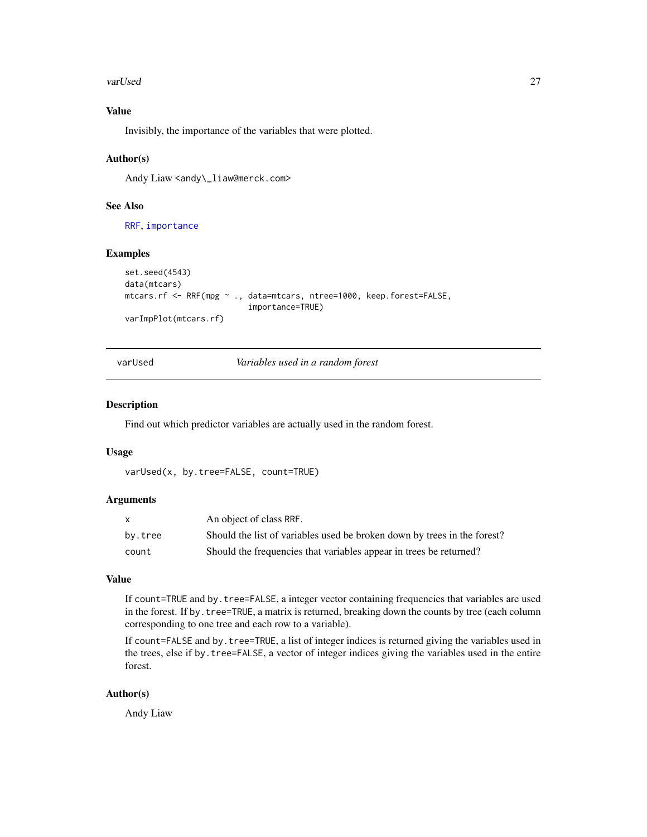#### <span id="page-26-0"></span>varUsed 27

# Value

Invisibly, the importance of the variables that were plotted.

#### Author(s)

Andy Liaw <andy\\_liaw@merck.com>

# See Also

[RRF](#page-16-1), [importance](#page-5-1)

#### Examples

```
set.seed(4543)
data(mtcars)
mtcars.rf <- RRF(mpg ~ ., data=mtcars, ntree=1000, keep.forest=FALSE,
                          importance=TRUE)
varImpPlot(mtcars.rf)
```
varUsed *Variables used in a random forest*

#### Description

Find out which predictor variables are actually used in the random forest.

#### Usage

varUsed(x, by.tree=FALSE, count=TRUE)

# Arguments

| X.      | An object of class RRF.                                                  |
|---------|--------------------------------------------------------------------------|
| by.tree | Should the list of variables used be broken down by trees in the forest? |
| count   | Should the frequencies that variables appear in trees be returned?       |

# Value

If count=TRUE and by.tree=FALSE, a integer vector containing frequencies that variables are used in the forest. If by.tree=TRUE, a matrix is returned, breaking down the counts by tree (each column corresponding to one tree and each row to a variable).

If count=FALSE and by.tree=TRUE, a list of integer indices is returned giving the variables used in the trees, else if by. tree=FALSE, a vector of integer indices giving the variables used in the entire forest.

# Author(s)

Andy Liaw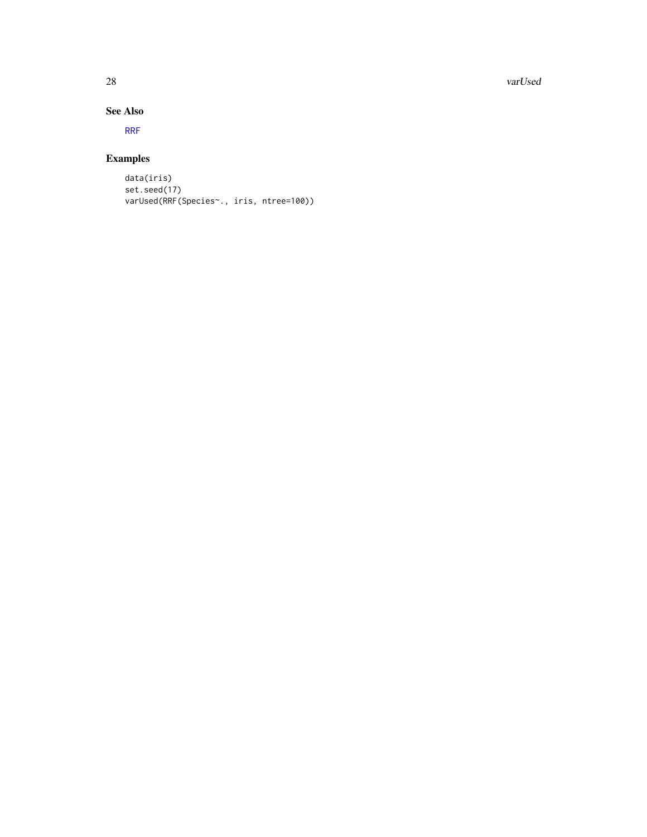<span id="page-27-0"></span>28 varUsed

# See Also

[RRF](#page-16-1)

# Examples

data(iris) set.seed(17) varUsed(RRF(Species~., iris, ntree=100))